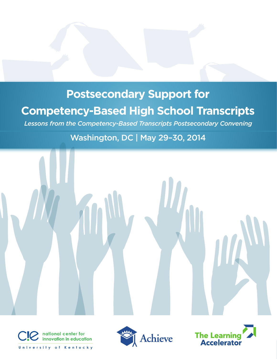## **Postsecondary Support for Competency-Based High School Transcripts**

*Lessons from the Competency-Based Transcripts Postsecondary Convening*

## Washington, DC | May 29–30, 2014







University of Kentucky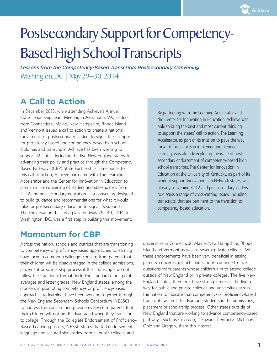# Postsecondary Support for Competency-Based High School Transcripts

*Lessons from the Competency-Based Transcripts Postsecondary Convening* Washington, DC | May 29–30, 2014

## **A Call to Action**

In December 2013, while attending Achieve's Annual State Leadership Team Meeting in Alexandria, VA, leaders from Connecticut, Maine, New Hampshire, Rhode Island and Vermont issued a call to action to create a national movement for postsecondary leaders to signal their support for proficiency-based and competency-based high school diplomas and transcripts. Achieve has been working to support 12 states, including the five New England states, in advancing their policy and practice through the Competency-Based Pathways (CBP) State Partnership. In response to this call to action, Achieve partnered with The Learning Accelerator and the Center for Innovation in Education to plan an initial convening of leaders and stakeholders from K–12 and postsecondary education — a convening designed to build guidance and recommendations for what it would take for postsecondary education to signal its support. The conversation that took place on May 29–30, 2014, in Washington, DC, was a first step in building this movement.

By partnering with The Learning Accelerator and the Center for Innovation in Education, Achieve was able to bring the best and most current thinking to support the states' call to action. The Learning Accelerator, as part of its mission to pave the way forward for districts in implementing blended learning, was already exploring the issue of postsecondary endorsement of competency-based high school transcripts. The Center for Innovation in Education at the University of Kentucky, as part of its work to support Innovation Lab Network states, was already convening K–12 and postsecondary leaders to discuss a range of cross-cutting issues, including transcripts, that are pertinent to the transition to competency-based education.

#### **Momentum for CBP**

Across the nation, schools and districts that are transitioning to competency- or proficiency-based approaches to learning have faced a common challenge: concern from parents that their children will be disadvantaged in the college admissions, placement or scholarship process if their transcripts do not follow the traditional format, including standard grade point averages and letter grades. New England states, among the pioneers in promoting competency- or proficiency-based approaches to learning, have been working together through the New England Secondary Schools Consortium (NESSC) to address this concern and provide evidence to parents that their children will not be disadvantaged when they transition to college. Through the Collegiate Endorsement of Proficiency-Based Learning process, NESSC states drafted endorsement language and secured signatories from all public colleges and

universities in Connecticut, Maine, New Hampshire, Rhode Island and Vermont as well as several private colleges. While these endorsements have been very beneficial in easing parents' concerns, districts and schools continue to face questions from parents whose children aim to attend college outside of New England or in private colleges. The five New England states, therefore, have strong interest in finding a way for public and private colleges and universities across the nation to indicate that competency- or proficiency-based transcripts will not disadvantage students in the admissions, placement or scholarship process. Other states outside of New England that are working to advance competency-based pathways, such as Colorado, Delaware, Kentucky, Michigan, Ohio and Oregon, share this interest.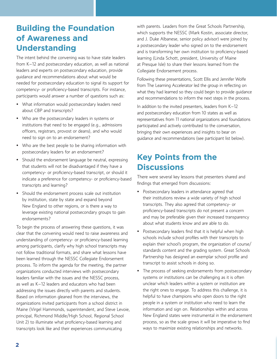## **Building the Foundation of Awareness and Understanding**

The intent behind the convening was to have state leaders from K–12 and postsecondary education, as well as national leaders and experts on postsecondary education, provide guidance and recommendations about what would be needed for postsecondary education to signal its support for competency- or proficiency-based transcripts. For instance, participants would answer a number of questions such as:

- What information would postsecondary leaders need about CBP and transcripts?
- Who are the postsecondary leaders in systems or institutions that need to be engaged (e.g., admissions officers, registrars, provost or deans), and who would need to sign on to an endorsement?
- Who are the best people to be sharing information with postsecondary leaders for an endorsement?
- Should the endorsement language be neutral, expressing that students will not be disadvantaged if they have a competency- or proficiency-based transcript, or should it indicate a preference for competency- or proficiency-based transcripts and learning?
- Should the endorsement process scale out institution by institution, state by state and expand beyond New England to other regions, or is there a way to leverage existing national postsecondary groups to gain endorsements?

To begin the process of answering these questions, it was clear that the convening would need to raise awareness and understanding of competency- or proficiency-based learning among participants, clarify why high school transcripts may not follow traditional formats, and share what lessons have been learned through the NESSC Collegiate Endorsement process. To inform the agenda for the meeting, the partner organizations conducted interviews with postsecondary leaders familiar with the issues and the NESSC process, as well as K–12 leaders and educators who had been addressing the issues directly with parents and students. Based on information gleaned from the interviews, the organizations invited participants from a school district in Maine (Virgel Hammonds, superintendent, and Steve Levoie, principal, Richmond Middle/High School, Regional School Unit 2) to illuminate what proficiency-based learning and transcripts look like and their experiences communicating

with parents. Leaders from the Great Schools Partnership, which supports the NESSC (Mark Kostin, associate director, and J. Duke Albanese, senior policy advisor) were joined by a postsecondary leader who signed on to the endorsement and is transforming her own institution to proficiency-based learning (Linda Schott, president, University of Maine at Presque Isle) to share their lessons learned from the Collegiate Endorsement process.

Following these presentations, Scott Ellis and Jennifer Wolfe from The Learning Accelerator led the group in reflecting on what they had learned so they could begin to provide guidance and recommendations to inform the next steps in the process.

In addition to the invited presenters, leaders from K–12 and postsecondary education from 10 states as well as representatives from 11 national organizations and foundations participated and actively contributed to the conversation, bringing their own experiences and insights to bear on guidance and recommendations (see participant list below).

### **Key Points from the Discussions**

There were several key lessons that presenters shared and findings that emerged from discussions:

- Postsecondary leaders in attendance agreed that their institutions review a wide variety of high school transcripts. They also agreed that competency- or proficiency-based transcripts do not present a concern and may be preferable given their increased transparency about what students know and are able to do.
- Postsecondary leaders find that it is helpful when high schools include school profiles with their transcripts to explain their school's program, the organization of course/ standards content and the grading system. Great Schools Partnership has designed an exemplar school profile and transcript to assist schools in doing so.
- The process of seeking endorsements from postsecondary systems or institutions can be challenging as it is often unclear which leaders within a system or institution are the right ones to engage. To address this challenge, it is helpful to have champions who open doors to the right people in a system or institution who need to learn the information and sign on. Relationships within and across New England states were instrumental in the endorsement process, so as the scale grows it will be imperative to find ways to maximize existing relationships and networks.